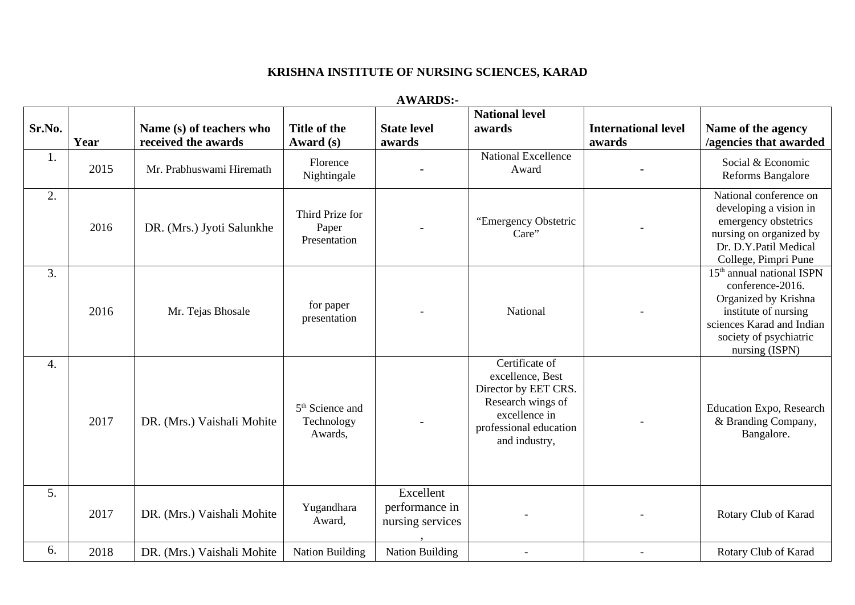## **KRISHNA INSTITUTE OF NURSING SCIENCES, KARAD**

**AWARDS:-**

| Sr.No. | Year | Name (s) of teachers who<br>received the awards | <b>Title of the</b><br>Award (s)                     | <b>State level</b><br>awards                    | <b>National level</b><br>awards                                                                                                             | <b>International level</b><br>awards | Name of the agency<br>/agencies that awarded                                                                                                                             |
|--------|------|-------------------------------------------------|------------------------------------------------------|-------------------------------------------------|---------------------------------------------------------------------------------------------------------------------------------------------|--------------------------------------|--------------------------------------------------------------------------------------------------------------------------------------------------------------------------|
| 1.     | 2015 | Mr. Prabhuswami Hiremath                        | Florence<br>Nightingale                              |                                                 | <b>National Excellence</b><br>Award                                                                                                         |                                      | Social & Economic<br>Reforms Bangalore                                                                                                                                   |
| 2.     | 2016 | DR. (Mrs.) Jyoti Salunkhe                       | Third Prize for<br>Paper<br>Presentation             |                                                 | "Emergency Obstetric<br>Care"                                                                                                               |                                      | National conference on<br>developing a vision in<br>emergency obstetrics<br>nursing on organized by<br>Dr. D.Y.Patil Medical<br>College, Pimpri Pune                     |
| 3.     | 2016 | Mr. Tejas Bhosale                               | for paper<br>presentation                            |                                                 | National                                                                                                                                    |                                      | $15th$ annual national ISPN<br>conference-2016.<br>Organized by Krishna<br>institute of nursing<br>sciences Karad and Indian<br>society of psychiatric<br>nursing (ISPN) |
| 4.     | 2017 | DR. (Mrs.) Vaishali Mohite                      | 5 <sup>th</sup> Science and<br>Technology<br>Awards, |                                                 | Certificate of<br>excellence, Best<br>Director by EET CRS.<br>Research wings of<br>excellence in<br>professional education<br>and industry, |                                      | Education Expo, Research<br>& Branding Company,<br>Bangalore.                                                                                                            |
| 5.     | 2017 | DR. (Mrs.) Vaishali Mohite                      | Yugandhara<br>Award,                                 | Excellent<br>performance in<br>nursing services |                                                                                                                                             |                                      | Rotary Club of Karad                                                                                                                                                     |
| 6.     | 2018 | DR. (Mrs.) Vaishali Mohite                      | <b>Nation Building</b>                               | <b>Nation Building</b>                          |                                                                                                                                             |                                      | Rotary Club of Karad                                                                                                                                                     |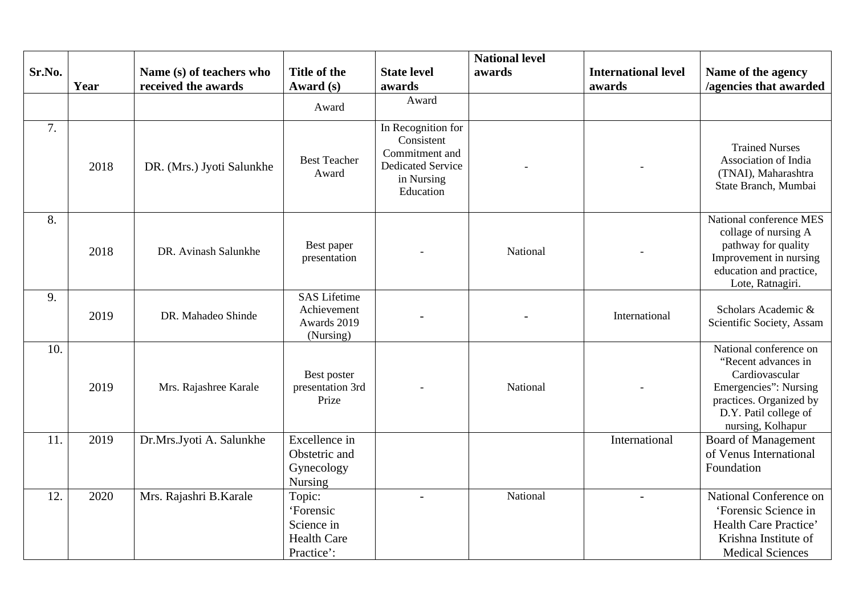|        |      |                                                 |                                                                       |                                                                                                           | <b>National level</b> |                                      |                                                                                                                                                                   |
|--------|------|-------------------------------------------------|-----------------------------------------------------------------------|-----------------------------------------------------------------------------------------------------------|-----------------------|--------------------------------------|-------------------------------------------------------------------------------------------------------------------------------------------------------------------|
| Sr.No. | Year | Name (s) of teachers who<br>received the awards | <b>Title of the</b><br>Award (s)                                      | <b>State level</b><br>awards                                                                              | awards                | <b>International level</b><br>awards | Name of the agency<br>/agencies that awarded                                                                                                                      |
|        |      |                                                 | Award                                                                 | Award                                                                                                     |                       |                                      |                                                                                                                                                                   |
| 7.     | 2018 | DR. (Mrs.) Jyoti Salunkhe                       | <b>Best Teacher</b><br>Award                                          | In Recognition for<br>Consistent<br>Commitment and<br><b>Dedicated Service</b><br>in Nursing<br>Education |                       |                                      | <b>Trained Nurses</b><br>Association of India<br>(TNAI), Maharashtra<br>State Branch, Mumbai                                                                      |
| 8.     | 2018 | DR. Avinash Salunkhe                            | Best paper<br>presentation                                            |                                                                                                           | National              |                                      | National conference MES<br>collage of nursing A<br>pathway for quality<br>Improvement in nursing<br>education and practice,<br>Lote, Ratnagiri.                   |
| 9.     | 2019 | DR. Mahadeo Shinde                              | <b>SAS Lifetime</b><br>Achievement<br>Awards 2019<br>(Nursing)        |                                                                                                           |                       | International                        | Scholars Academic &<br>Scientific Society, Assam                                                                                                                  |
| 10.    | 2019 | Mrs. Rajashree Karale                           | Best poster<br>presentation 3rd<br>Prize                              |                                                                                                           | National              |                                      | National conference on<br>"Recent advances in<br>Cardiovascular<br>Emergencies": Nursing<br>practices. Organized by<br>D.Y. Patil college of<br>nursing, Kolhapur |
| 11.    | 2019 | Dr.Mrs.Jyoti A. Salunkhe                        | Excellence in<br>Obstetric and<br>Gynecology<br>Nursing               |                                                                                                           |                       | International                        | <b>Board of Management</b><br>of Venus International<br>Foundation                                                                                                |
| 12.    | 2020 | Mrs. Rajashri B.Karale                          | Topic:<br>'Forensic<br>Science in<br><b>Health Care</b><br>Practice': |                                                                                                           | National              | $\overline{a}$                       | National Conference on<br>'Forensic Science in<br><b>Health Care Practice'</b><br>Krishna Institute of<br><b>Medical Sciences</b>                                 |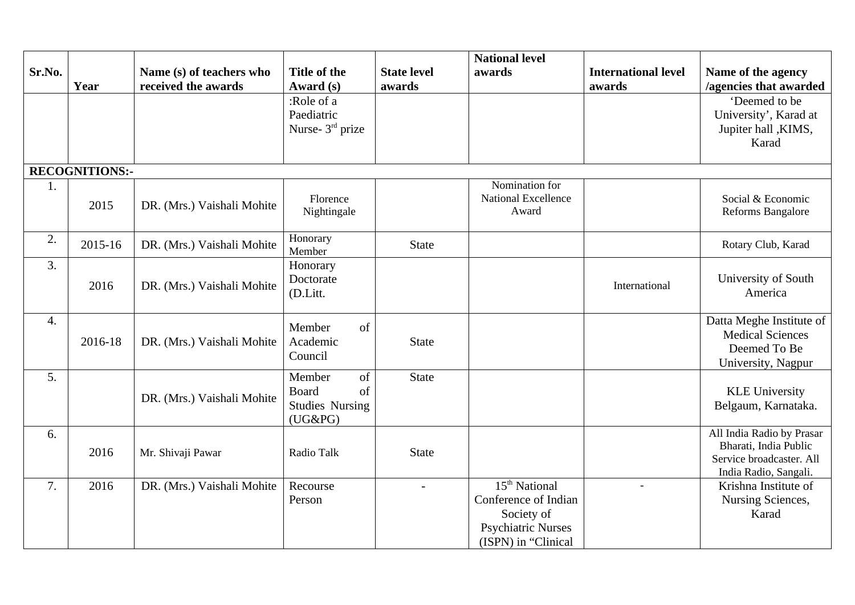| Sr.No. |                       | Name (s) of teachers who   | <b>Title of the</b>                  | <b>State level</b> | <b>National level</b><br>awards | <b>International level</b> | Name of the agency                            |
|--------|-----------------------|----------------------------|--------------------------------------|--------------------|---------------------------------|----------------------------|-----------------------------------------------|
|        | Year                  | received the awards        | Award (s)                            | awards             |                                 | awards                     | /agencies that awarded                        |
|        |                       |                            | :Role of a                           |                    |                                 |                            | 'Deemed to be                                 |
|        |                       |                            | Paediatric                           |                    |                                 |                            | University', Karad at                         |
|        |                       |                            | Nurse- 3rd prize                     |                    |                                 |                            | Jupiter hall , KIMS,                          |
|        |                       |                            |                                      |                    |                                 |                            | Karad                                         |
|        | <b>RECOGNITIONS:-</b> |                            |                                      |                    |                                 |                            |                                               |
| 1.     |                       |                            |                                      |                    | Nomination for                  |                            |                                               |
|        | 2015                  | DR. (Mrs.) Vaishali Mohite | Florence                             |                    | <b>National Excellence</b>      |                            | Social & Economic                             |
|        |                       |                            | Nightingale                          |                    | Award                           |                            | Reforms Bangalore                             |
| 2.     | 2015-16               | DR. (Mrs.) Vaishali Mohite | Honorary<br>Member                   | <b>State</b>       |                                 |                            | Rotary Club, Karad                            |
| 3.     |                       |                            | Honorary                             |                    |                                 |                            |                                               |
|        |                       |                            | Doctorate                            |                    |                                 |                            | University of South                           |
|        | 2016                  | DR. (Mrs.) Vaishali Mohite | (D.Litt.                             |                    |                                 | International              | America                                       |
|        |                       |                            |                                      |                    |                                 |                            |                                               |
| 4.     |                       |                            | Member<br>of                         |                    |                                 |                            | Datta Meghe Institute of                      |
|        | 2016-18               | DR. (Mrs.) Vaishali Mohite | Academic                             | <b>State</b>       |                                 |                            | <b>Medical Sciences</b>                       |
|        |                       |                            | Council                              |                    |                                 |                            | Deemed To Be                                  |
|        |                       |                            |                                      |                    |                                 |                            | University, Nagpur                            |
| 5.     |                       |                            | Member<br>of                         | <b>State</b>       |                                 |                            |                                               |
|        |                       | DR. (Mrs.) Vaishali Mohite | <b>Board</b><br>of                   |                    |                                 |                            | <b>KLE University</b>                         |
|        |                       |                            | <b>Studies Nursing</b><br>$(UG\&PG)$ |                    |                                 |                            | Belgaum, Karnataka.                           |
| 6.     |                       |                            |                                      |                    |                                 |                            | All India Radio by Prasar                     |
|        | 2016                  | Mr. Shivaji Pawar          | Radio Talk                           | <b>State</b>       |                                 |                            | Bharati, India Public                         |
|        |                       |                            |                                      |                    |                                 |                            | Service broadcaster. All                      |
| 7.     |                       |                            |                                      |                    | 15 <sup>th</sup> National       |                            | India Radio, Sangali.<br>Krishna Institute of |
|        | 2016                  | DR. (Mrs.) Vaishali Mohite | Recourse<br>Person                   | $\sim$             | Conference of Indian            | $\blacksquare$             |                                               |
|        |                       |                            |                                      |                    | Society of                      |                            | Nursing Sciences,<br>Karad                    |
|        |                       |                            |                                      |                    | <b>Psychiatric Nurses</b>       |                            |                                               |
|        |                       |                            |                                      |                    | (ISPN) in "Clinical             |                            |                                               |
|        |                       |                            |                                      |                    |                                 |                            |                                               |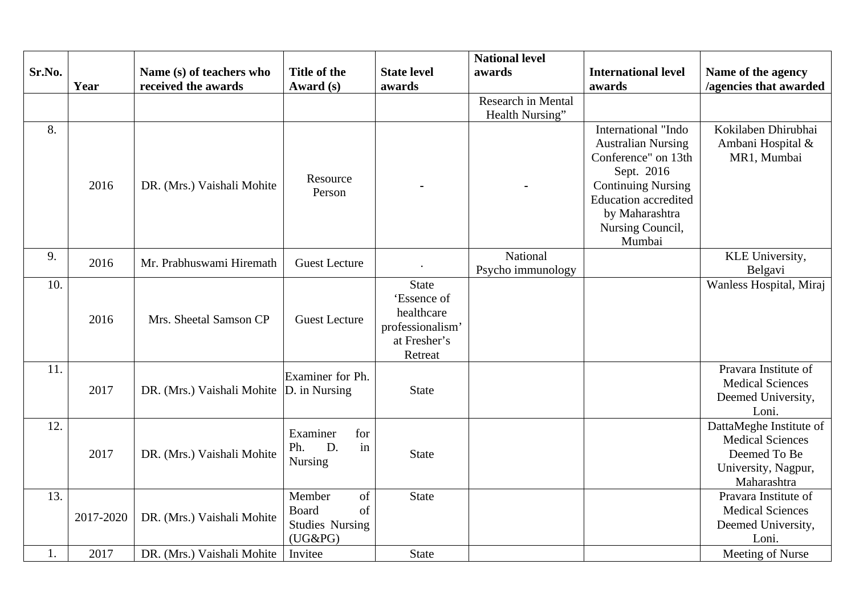|        |           |                                           |                        |                             | <b>National level</b> |                             |                         |
|--------|-----------|-------------------------------------------|------------------------|-----------------------------|-----------------------|-----------------------------|-------------------------|
| Sr.No. |           | Name (s) of teachers who                  | <b>Title of the</b>    | <b>State level</b>          | awards                | <b>International level</b>  | Name of the agency      |
|        | Year      | received the awards                       | Award (s)              | awards                      |                       | awards                      | /agencies that awarded  |
|        |           |                                           |                        |                             | Research in Mental    |                             |                         |
|        |           |                                           |                        |                             | Health Nursing"       |                             |                         |
| 8.     |           |                                           |                        |                             |                       | International "Indo         | Kokilaben Dhirubhai     |
|        |           |                                           |                        |                             |                       | <b>Australian Nursing</b>   | Ambani Hospital &       |
|        |           |                                           |                        |                             |                       | Conference" on 13th         | MR1, Mumbai             |
|        |           |                                           | Resource               |                             |                       | Sept. 2016                  |                         |
|        | 2016      | DR. (Mrs.) Vaishali Mohite                | Person                 |                             |                       | <b>Continuing Nursing</b>   |                         |
|        |           |                                           |                        |                             |                       | <b>Education accredited</b> |                         |
|        |           |                                           |                        |                             |                       | by Maharashtra              |                         |
|        |           |                                           |                        |                             |                       | Nursing Council,            |                         |
|        |           |                                           |                        |                             |                       | Mumbai                      |                         |
| 9.     | 2016      | Mr. Prabhuswami Hiremath                  | <b>Guest Lecture</b>   |                             | National              |                             | KLE University,         |
|        |           |                                           |                        |                             | Psycho immunology     |                             | Belgavi                 |
| 10.    |           |                                           |                        | <b>State</b><br>'Essence of |                       |                             | Wanless Hospital, Miraj |
|        |           |                                           |                        | healthcare                  |                       |                             |                         |
|        | 2016      | Mrs. Sheetal Samson CP                    | <b>Guest Lecture</b>   | professionalism'            |                       |                             |                         |
|        |           |                                           |                        | at Fresher's                |                       |                             |                         |
|        |           |                                           |                        | Retreat                     |                       |                             |                         |
| 11.    |           |                                           |                        |                             |                       |                             | Pravara Institute of    |
|        |           |                                           | Examiner for Ph.       |                             |                       |                             | <b>Medical Sciences</b> |
|        | 2017      | DR. (Mrs.) Vaishali Mohite  D. in Nursing |                        | <b>State</b>                |                       |                             | Deemed University,      |
|        |           |                                           |                        |                             |                       |                             | Loni.                   |
| 12.    |           |                                           | Examiner<br>for        |                             |                       |                             | DattaMeghe Institute of |
|        |           |                                           | in<br>D.<br>Ph.        |                             |                       |                             | <b>Medical Sciences</b> |
|        | 2017      | DR. (Mrs.) Vaishali Mohite                | <b>Nursing</b>         | <b>State</b>                |                       |                             | Deemed To Be            |
|        |           |                                           |                        |                             |                       |                             | University, Nagpur,     |
|        |           |                                           |                        |                             |                       |                             | Maharashtra             |
| 13.    |           |                                           | Member<br>of           | <b>State</b>                |                       |                             | Pravara Institute of    |
|        | 2017-2020 | DR. (Mrs.) Vaishali Mohite                | <b>Board</b><br>of     |                             |                       |                             | <b>Medical Sciences</b> |
|        |           |                                           | <b>Studies Nursing</b> |                             |                       |                             | Deemed University,      |
|        |           |                                           | $(UG\&PG)$             |                             |                       |                             | Loni.                   |
| 1.     | 2017      | DR. (Mrs.) Vaishali Mohite                | Invitee                | <b>State</b>                |                       |                             | Meeting of Nurse        |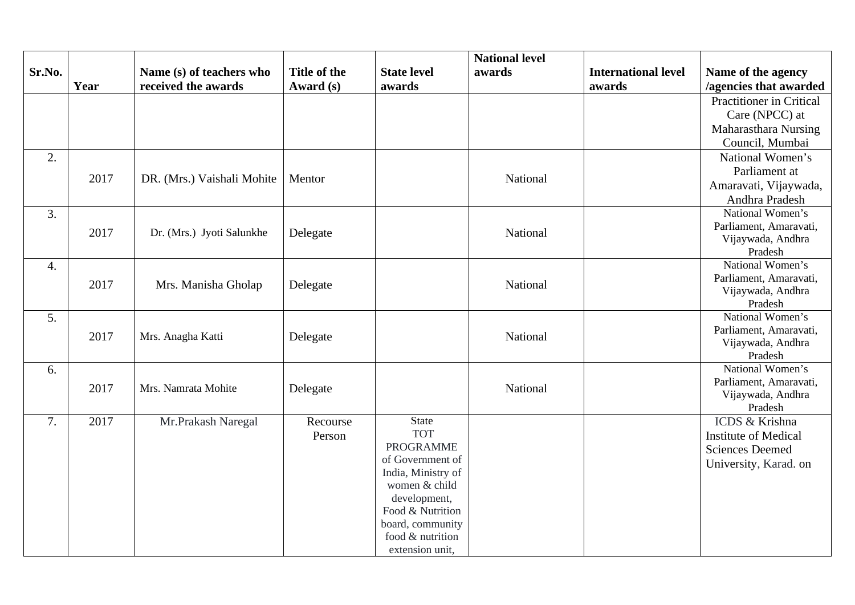|        |      |                            |                     |                                | <b>National level</b> |                            |                              |
|--------|------|----------------------------|---------------------|--------------------------------|-----------------------|----------------------------|------------------------------|
| Sr.No. |      | Name (s) of teachers who   | <b>Title of the</b> | <b>State level</b>             | awards                | <b>International level</b> | Name of the agency           |
|        | Year | received the awards        | Award (s)           | awards                         |                       | awards                     | /agencies that awarded       |
|        |      |                            |                     |                                |                       |                            | Practitioner in Critical     |
|        |      |                            |                     |                                |                       |                            | Care (NPCC) at               |
|        |      |                            |                     |                                |                       |                            | Maharasthara Nursing         |
|        |      |                            |                     |                                |                       |                            | Council, Mumbai              |
| 2.     |      |                            |                     |                                |                       |                            | National Women's             |
|        | 2017 | DR. (Mrs.) Vaishali Mohite | Mentor              |                                | National              |                            | Parliament at                |
|        |      |                            |                     |                                |                       |                            | Amaravati, Vijaywada,        |
|        |      |                            |                     |                                |                       |                            | Andhra Pradesh               |
| 3.     |      |                            |                     |                                |                       |                            | National Women's             |
|        | 2017 | Dr. (Mrs.) Jyoti Salunkhe  | Delegate            |                                | National              |                            | Parliament, Amaravati,       |
|        |      |                            |                     |                                |                       |                            | Vijaywada, Andhra            |
|        |      |                            |                     |                                |                       |                            | Pradesh                      |
| 4.     |      |                            |                     |                                |                       |                            | National Women's             |
|        | 2017 | Mrs. Manisha Gholap        | Delegate            |                                | National              |                            | Parliament, Amaravati,       |
|        |      |                            |                     |                                |                       |                            | Vijaywada, Andhra<br>Pradesh |
| 5.     |      |                            |                     |                                |                       |                            | National Women's             |
|        |      |                            |                     |                                |                       |                            | Parliament, Amaravati,       |
|        | 2017 | Mrs. Anagha Katti          | Delegate            |                                | National              |                            | Vijaywada, Andhra            |
|        |      |                            |                     |                                |                       |                            | Pradesh                      |
| 6.     |      |                            |                     |                                |                       |                            | National Women's             |
|        | 2017 | Mrs. Namrata Mohite        | Delegate            |                                | National              |                            | Parliament, Amaravati,       |
|        |      |                            |                     |                                |                       |                            | Vijaywada, Andhra            |
|        |      |                            |                     |                                |                       |                            | Pradesh                      |
| 7.     | 2017 | Mr.Prakash Naregal         | Recourse            | <b>State</b>                   |                       |                            | ICDS & Krishna               |
|        |      |                            | Person              | <b>TOT</b><br><b>PROGRAMME</b> |                       |                            | <b>Institute of Medical</b>  |
|        |      |                            |                     | of Government of               |                       |                            | <b>Sciences Deemed</b>       |
|        |      |                            |                     | India, Ministry of             |                       |                            | University, Karad. on        |
|        |      |                            |                     | women & child                  |                       |                            |                              |
|        |      |                            |                     | development,                   |                       |                            |                              |
|        |      |                            |                     | Food & Nutrition               |                       |                            |                              |
|        |      |                            |                     | board, community               |                       |                            |                              |
|        |      |                            |                     | food & nutrition               |                       |                            |                              |
|        |      |                            |                     | extension unit,                |                       |                            |                              |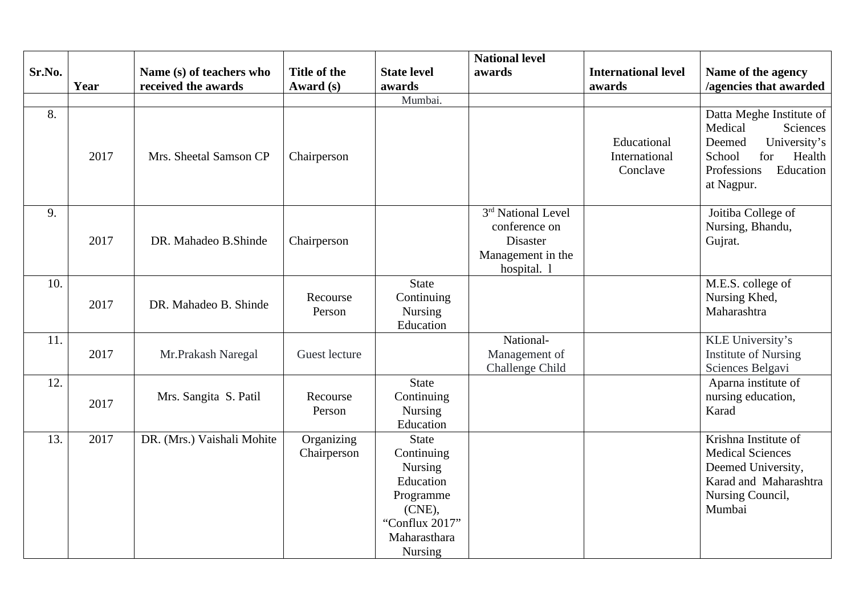|        |      |                            |                     |                              | <b>National level</b>          |                                          |                                                                                                                                                       |
|--------|------|----------------------------|---------------------|------------------------------|--------------------------------|------------------------------------------|-------------------------------------------------------------------------------------------------------------------------------------------------------|
| Sr.No. |      | Name (s) of teachers who   | <b>Title of the</b> | <b>State level</b>           | awards                         | <b>International level</b>               | Name of the agency                                                                                                                                    |
|        | Year | received the awards        | Award (s)           | awards                       |                                | awards                                   | /agencies that awarded                                                                                                                                |
|        |      |                            |                     | Mumbai.                      |                                |                                          |                                                                                                                                                       |
| 8.     | 2017 | Mrs. Sheetal Samson CP     | Chairperson         |                              |                                | Educational<br>International<br>Conclave | Datta Meghe Institute of<br>Medical<br><b>Sciences</b><br>Deemed<br>University's<br>School<br>for<br>Health<br>Education<br>Professions<br>at Nagpur. |
| 9.     |      |                            |                     |                              | 3 <sup>rd</sup> National Level |                                          | Joitiba College of                                                                                                                                    |
|        |      |                            |                     |                              | conference on                  |                                          | Nursing, Bhandu,                                                                                                                                      |
|        | 2017 | DR. Mahadeo B. Shinde      | Chairperson         |                              | <b>Disaster</b>                |                                          | Gujrat.                                                                                                                                               |
|        |      |                            |                     |                              | Management in the              |                                          |                                                                                                                                                       |
| 10.    |      |                            |                     | <b>State</b>                 | hospital. l                    |                                          | M.E.S. college of                                                                                                                                     |
|        |      |                            | Recourse            | Continuing                   |                                |                                          | Nursing Khed,                                                                                                                                         |
|        | 2017 | DR. Mahadeo B. Shinde      | Person              | Nursing                      |                                |                                          | Maharashtra                                                                                                                                           |
|        |      |                            |                     | Education                    |                                |                                          |                                                                                                                                                       |
| 11.    |      |                            |                     |                              | National-                      |                                          | KLE University's                                                                                                                                      |
|        | 2017 | Mr.Prakash Naregal         | Guest lecture       |                              | Management of                  |                                          | <b>Institute of Nursing</b>                                                                                                                           |
|        |      |                            |                     |                              | Challenge Child                |                                          | Sciences Belgavi                                                                                                                                      |
| 12.    |      |                            |                     | <b>State</b>                 |                                |                                          | Aparna institute of                                                                                                                                   |
|        | 2017 | Mrs. Sangita S. Patil      | Recourse            | Continuing                   |                                |                                          | nursing education,                                                                                                                                    |
|        |      |                            | Person              | Nursing                      |                                |                                          | Karad                                                                                                                                                 |
|        |      |                            |                     | Education                    |                                |                                          |                                                                                                                                                       |
| 13.    | 2017 | DR. (Mrs.) Vaishali Mohite | Organizing          | <b>State</b>                 |                                |                                          | Krishna Institute of<br><b>Medical Sciences</b>                                                                                                       |
|        |      |                            | Chairperson         | Continuing<br><b>Nursing</b> |                                |                                          | Deemed University,                                                                                                                                    |
|        |      |                            |                     | Education                    |                                |                                          | Karad and Maharashtra                                                                                                                                 |
|        |      |                            |                     | Programme                    |                                |                                          | Nursing Council,                                                                                                                                      |
|        |      |                            |                     | $(CNE)$ ,                    |                                |                                          | Mumbai                                                                                                                                                |
|        |      |                            |                     | "Conflux 2017"               |                                |                                          |                                                                                                                                                       |
|        |      |                            |                     | Maharasthara                 |                                |                                          |                                                                                                                                                       |
|        |      |                            |                     | <b>Nursing</b>               |                                |                                          |                                                                                                                                                       |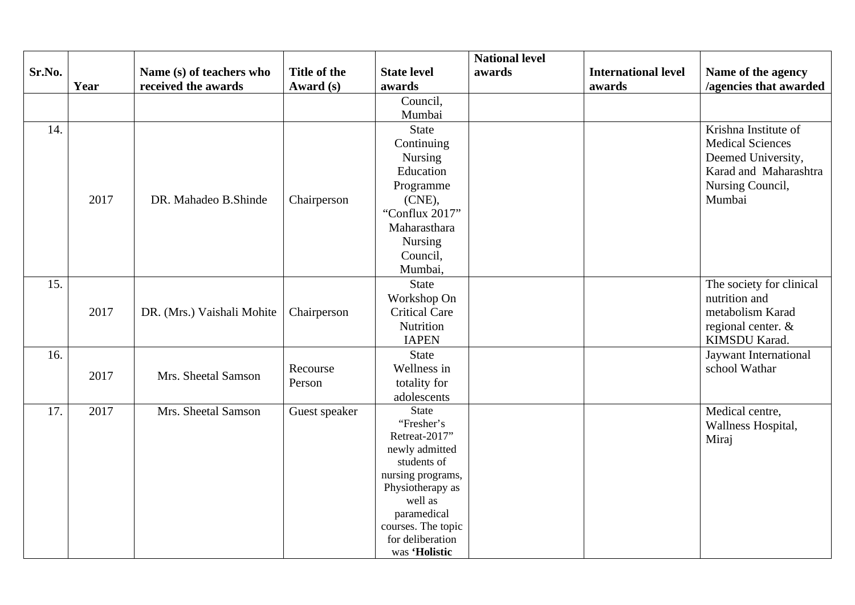|        |      |                            |                     |                               | <b>National level</b> |                            |                          |
|--------|------|----------------------------|---------------------|-------------------------------|-----------------------|----------------------------|--------------------------|
| Sr.No. |      | Name (s) of teachers who   | <b>Title of the</b> | <b>State level</b>            | awards                | <b>International level</b> | Name of the agency       |
|        | Year | received the awards        | Award (s)           | awards                        |                       | awards                     | /agencies that awarded   |
|        |      |                            |                     | Council,                      |                       |                            |                          |
|        |      |                            |                     | Mumbai                        |                       |                            |                          |
| 14.    |      |                            |                     | State                         |                       |                            | Krishna Institute of     |
|        |      |                            |                     | Continuing                    |                       |                            | <b>Medical Sciences</b>  |
|        |      |                            |                     | Nursing                       |                       |                            | Deemed University,       |
|        |      |                            |                     | Education                     |                       |                            | Karad and Maharashtra    |
|        |      |                            |                     | Programme                     |                       |                            | Nursing Council,         |
|        | 2017 | DR. Mahadeo B. Shinde      | Chairperson         | (CNE),                        |                       |                            | Mumbai                   |
|        |      |                            |                     | "Conflux 2017"                |                       |                            |                          |
|        |      |                            |                     | Maharasthara                  |                       |                            |                          |
|        |      |                            |                     | Nursing                       |                       |                            |                          |
|        |      |                            |                     | Council,                      |                       |                            |                          |
|        |      |                            |                     | Mumbai,                       |                       |                            |                          |
| 15.    |      |                            |                     | <b>State</b>                  |                       |                            | The society for clinical |
|        |      |                            |                     | Workshop On                   |                       |                            | nutrition and            |
|        | 2017 | DR. (Mrs.) Vaishali Mohite | Chairperson         | <b>Critical Care</b>          |                       |                            | metabolism Karad         |
|        |      |                            |                     | Nutrition                     |                       |                            | regional center. &       |
|        |      |                            |                     | <b>IAPEN</b>                  |                       |                            | KIMSDU Karad.            |
| 16.    |      |                            |                     | <b>State</b>                  |                       |                            | Jaywant International    |
|        | 2017 | Mrs. Sheetal Samson        | Recourse            | Wellness in                   |                       |                            | school Wathar            |
|        |      |                            | Person              | totality for                  |                       |                            |                          |
|        |      |                            |                     | adolescents                   |                       |                            |                          |
| 17.    | 2017 | Mrs. Sheetal Samson        | Guest speaker       | <b>State</b>                  |                       |                            | Medical centre,          |
|        |      |                            |                     | "Fresher's                    |                       |                            | Wallness Hospital,       |
|        |      |                            |                     | Retreat-2017"                 |                       |                            | Miraj                    |
|        |      |                            |                     | newly admitted<br>students of |                       |                            |                          |
|        |      |                            |                     | nursing programs,             |                       |                            |                          |
|        |      |                            |                     | Physiotherapy as              |                       |                            |                          |
|        |      |                            |                     | well as                       |                       |                            |                          |
|        |      |                            |                     | paramedical                   |                       |                            |                          |
|        |      |                            |                     | courses. The topic            |                       |                            |                          |
|        |      |                            |                     | for deliberation              |                       |                            |                          |
|        |      |                            |                     | was 'Holistic                 |                       |                            |                          |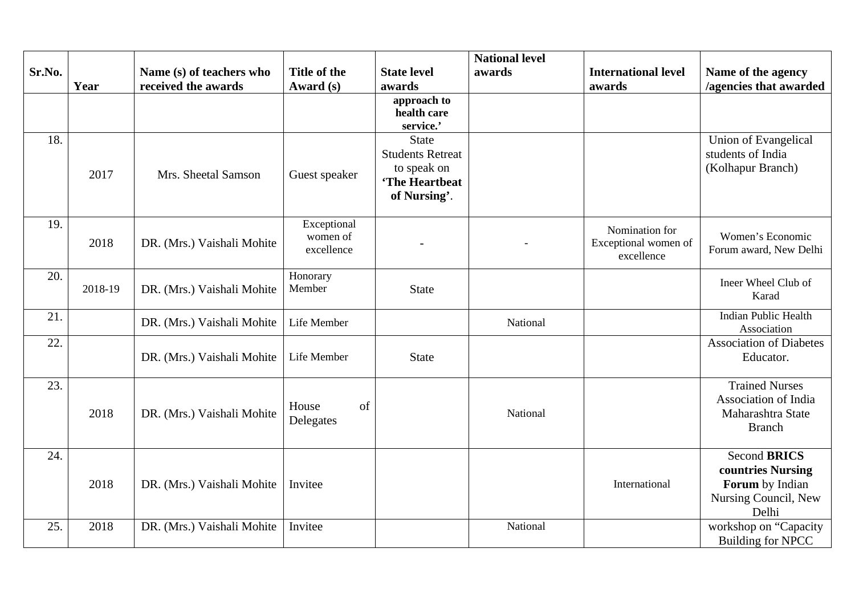|        |         |                            |                        |                               | <b>National level</b> |                            |                                            |
|--------|---------|----------------------------|------------------------|-------------------------------|-----------------------|----------------------------|--------------------------------------------|
| Sr.No. |         | Name (s) of teachers who   | <b>Title of the</b>    | <b>State level</b>            | awards                | <b>International level</b> | Name of the agency                         |
|        | Year    | received the awards        | Award (s)              | awards<br>approach to         |                       | awards                     | /agencies that awarded                     |
|        |         |                            |                        | health care                   |                       |                            |                                            |
|        |         |                            |                        | service.'                     |                       |                            |                                            |
| 18.    |         |                            |                        | <b>State</b>                  |                       |                            | Union of Evangelical                       |
|        |         |                            |                        | <b>Students Retreat</b>       |                       |                            | students of India                          |
|        | 2017    | Mrs. Sheetal Samson        | Guest speaker          | to speak on<br>'The Heartbeat |                       |                            | (Kolhapur Branch)                          |
|        |         |                            |                        | of Nursing'.                  |                       |                            |                                            |
|        |         |                            |                        |                               |                       |                            |                                            |
| 19.    |         |                            | Exceptional            |                               |                       | Nomination for             |                                            |
|        | 2018    | DR. (Mrs.) Vaishali Mohite | women of<br>excellence |                               |                       | Exceptional women of       | Women's Economic<br>Forum award, New Delhi |
|        |         |                            |                        |                               |                       | excellence                 |                                            |
| 20.    |         |                            | Honorary               |                               |                       |                            | Ineer Wheel Club of                        |
|        | 2018-19 | DR. (Mrs.) Vaishali Mohite | Member                 | <b>State</b>                  |                       |                            | Karad                                      |
| 21.    |         |                            |                        |                               |                       |                            | <b>Indian Public Health</b>                |
|        |         | DR. (Mrs.) Vaishali Mohite | Life Member            |                               | National              |                            | Association                                |
| 22.    |         |                            |                        |                               |                       |                            | <b>Association of Diabetes</b>             |
|        |         | DR. (Mrs.) Vaishali Mohite | Life Member            | <b>State</b>                  |                       |                            | Educator.                                  |
| 23.    |         |                            |                        |                               |                       |                            | <b>Trained Nurses</b>                      |
|        |         |                            |                        |                               |                       |                            | Association of India                       |
|        | 2018    | DR. (Mrs.) Vaishali Mohite | of<br>House            |                               | National              |                            | Maharashtra State                          |
|        |         |                            | Delegates              |                               |                       |                            | <b>Branch</b>                              |
|        |         |                            |                        |                               |                       |                            |                                            |
| 24.    |         |                            |                        |                               |                       |                            | <b>Second BRICS</b>                        |
|        | 2018    | DR. (Mrs.) Vaishali Mohite | Invitee                |                               |                       | International              | countries Nursing<br>Forum by Indian       |
|        |         |                            |                        |                               |                       |                            | Nursing Council, New                       |
|        |         |                            |                        |                               |                       |                            | Delhi                                      |
| 25.    | 2018    | DR. (Mrs.) Vaishali Mohite | Invitee                |                               | National              |                            | workshop on "Capacity                      |
|        |         |                            |                        |                               |                       |                            | <b>Building for NPCC</b>                   |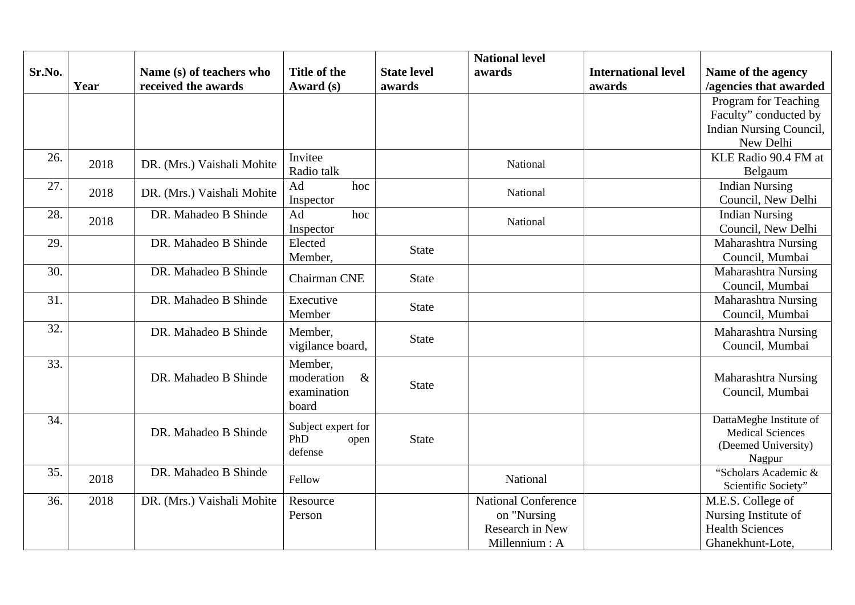|        |      |                            |                     |                    | <b>National level</b>      |                            |                                                |
|--------|------|----------------------------|---------------------|--------------------|----------------------------|----------------------------|------------------------------------------------|
| Sr.No. |      | Name (s) of teachers who   | <b>Title of the</b> | <b>State level</b> | awards                     | <b>International level</b> | Name of the agency                             |
|        | Year | received the awards        | Award (s)           | awards             |                            | awards                     | /agencies that awarded                         |
|        |      |                            |                     |                    |                            |                            | Program for Teaching                           |
|        |      |                            |                     |                    |                            |                            | Faculty" conducted by                          |
|        |      |                            |                     |                    |                            |                            | Indian Nursing Council,                        |
|        |      |                            |                     |                    |                            |                            | New Delhi                                      |
| 26.    | 2018 | DR. (Mrs.) Vaishali Mohite | Invitee             |                    | National                   |                            | KLE Radio 90.4 FM at                           |
|        |      |                            | Radio talk          |                    |                            |                            | Belgaum                                        |
| 27.    | 2018 | DR. (Mrs.) Vaishali Mohite | Ad<br>hoc           |                    | National                   |                            | <b>Indian Nursing</b>                          |
|        |      |                            | Inspector           |                    |                            |                            | Council, New Delhi                             |
| 28.    | 2018 | DR. Mahadeo B Shinde       | Ad<br>hoc           |                    | National                   |                            | <b>Indian Nursing</b>                          |
|        |      |                            | Inspector           |                    |                            |                            | Council, New Delhi                             |
| 29.    |      | DR. Mahadeo B Shinde       | Elected             | <b>State</b>       |                            |                            | <b>Maharashtra Nursing</b>                     |
|        |      |                            | Member,             |                    |                            |                            | Council, Mumbai                                |
| 30.    |      | DR. Mahadeo B Shinde       | Chairman CNE        | <b>State</b>       |                            |                            | Maharashtra Nursing                            |
|        |      |                            |                     |                    |                            |                            | Council, Mumbai                                |
| 31.    |      | DR. Mahadeo B Shinde       | Executive<br>Member | <b>State</b>       |                            |                            | <b>Maharashtra Nursing</b>                     |
|        |      |                            |                     |                    |                            |                            | Council, Mumbai                                |
| 32.    |      | DR. Mahadeo B Shinde       | Member,             | <b>State</b>       |                            |                            | <b>Maharashtra Nursing</b>                     |
|        |      |                            | vigilance board,    |                    |                            |                            | Council, Mumbai                                |
| 33.    |      |                            | Member,             |                    |                            |                            |                                                |
|        |      | DR. Mahadeo B Shinde       | $\&$<br>moderation  | <b>State</b>       |                            |                            | <b>Maharashtra Nursing</b>                     |
|        |      |                            | examination         |                    |                            |                            | Council, Mumbai                                |
|        |      |                            | board               |                    |                            |                            |                                                |
| 34.    |      | DR. Mahadeo B Shinde       | Subject expert for  |                    |                            |                            | DattaMeghe Institute of                        |
|        |      |                            | PhD<br>open         | <b>State</b>       |                            |                            | <b>Medical Sciences</b><br>(Deemed University) |
|        |      |                            | defense             |                    |                            |                            | Nagpur                                         |
| 35.    |      | DR. Mahadeo B Shinde       |                     |                    |                            |                            | "Scholars Academic &                           |
|        | 2018 |                            | Fellow              |                    | National                   |                            | Scientific Society"                            |
| 36.    | 2018 | DR. (Mrs.) Vaishali Mohite | Resource            |                    | <b>National Conference</b> |                            | M.E.S. College of                              |
|        |      |                            | Person              |                    | on "Nursing                |                            | Nursing Institute of                           |
|        |      |                            |                     |                    | Research in New            |                            | <b>Health Sciences</b>                         |
|        |      |                            |                     |                    | Millennium: A              |                            | Ghanekhunt-Lote,                               |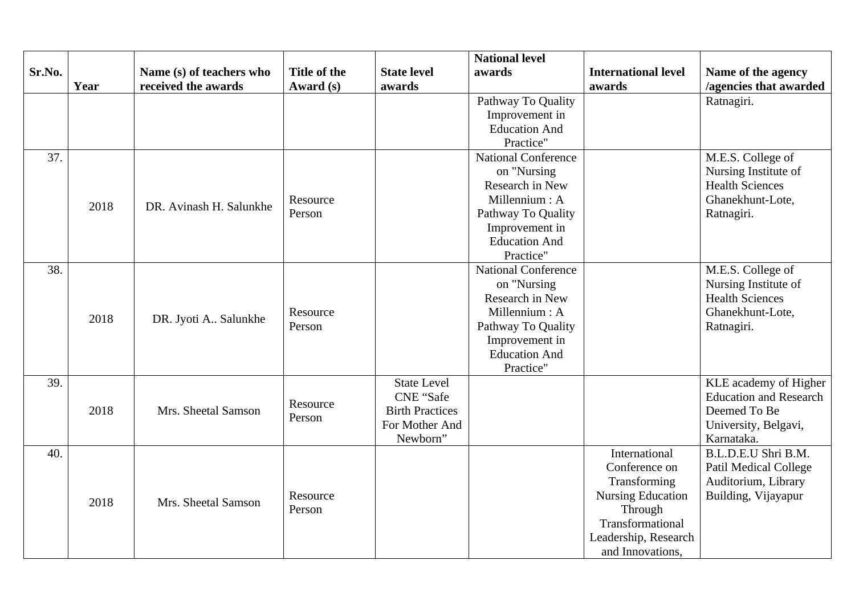|        |      |                          |                     |                        | <b>National level</b>      |                            |                               |
|--------|------|--------------------------|---------------------|------------------------|----------------------------|----------------------------|-------------------------------|
| Sr.No. |      | Name (s) of teachers who | <b>Title of the</b> | <b>State level</b>     | awards                     | <b>International level</b> | Name of the agency            |
|        | Year | received the awards      | Award (s)           | awards                 |                            | awards                     | /agencies that awarded        |
|        |      |                          |                     |                        | Pathway To Quality         |                            | Ratnagiri.                    |
|        |      |                          |                     |                        | Improvement in             |                            |                               |
|        |      |                          |                     |                        | <b>Education And</b>       |                            |                               |
|        |      |                          |                     |                        | Practice"                  |                            |                               |
| 37.    |      |                          |                     |                        | <b>National Conference</b> |                            | M.E.S. College of             |
|        |      |                          |                     |                        | on "Nursing                |                            | Nursing Institute of          |
|        |      |                          |                     |                        | Research in New            |                            | <b>Health Sciences</b>        |
|        | 2018 | DR. Avinash H. Salunkhe  | Resource            |                        | Millennium: A              |                            | Ghanekhunt-Lote,              |
|        |      |                          | Person              |                        | Pathway To Quality         |                            | Ratnagiri.                    |
|        |      |                          |                     |                        | Improvement in             |                            |                               |
|        |      |                          |                     |                        | <b>Education And</b>       |                            |                               |
|        |      |                          |                     |                        | Practice"                  |                            |                               |
| 38.    |      |                          |                     |                        | <b>National Conference</b> |                            | M.E.S. College of             |
|        |      |                          |                     |                        | on "Nursing                |                            | Nursing Institute of          |
|        |      |                          |                     |                        | Research in New            |                            | <b>Health Sciences</b>        |
|        | 2018 | DR. Jyoti A Salunkhe     | Resource            |                        | Millennium: A              |                            | Ghanekhunt-Lote,              |
|        |      |                          | Person              |                        | Pathway To Quality         |                            | Ratnagiri.                    |
|        |      |                          |                     |                        | Improvement in             |                            |                               |
|        |      |                          |                     |                        | <b>Education And</b>       |                            |                               |
|        |      |                          |                     |                        | Practice"                  |                            |                               |
| 39.    |      |                          |                     | <b>State Level</b>     |                            |                            | KLE academy of Higher         |
|        |      |                          | Resource            | <b>CNE</b> "Safe       |                            |                            | <b>Education and Research</b> |
|        | 2018 | Mrs. Sheetal Samson      | Person              | <b>Birth Practices</b> |                            |                            | Deemed To Be                  |
|        |      |                          |                     | For Mother And         |                            |                            | University, Belgavi,          |
|        |      |                          |                     | Newborn"               |                            |                            | Karnataka.                    |
| 40.    |      |                          |                     |                        |                            | International              | B.L.D.E.U Shri B.M.           |
|        |      |                          |                     |                        |                            | Conference on              | <b>Patil Medical College</b>  |
|        |      |                          |                     |                        |                            | Transforming               | Auditorium, Library           |
|        | 2018 | Mrs. Sheetal Samson      | Resource            |                        |                            | <b>Nursing Education</b>   | Building, Vijayapur           |
|        |      |                          | Person              |                        |                            | Through                    |                               |
|        |      |                          |                     |                        |                            | Transformational           |                               |
|        |      |                          |                     |                        |                            | Leadership, Research       |                               |
|        |      |                          |                     |                        |                            | and Innovations,           |                               |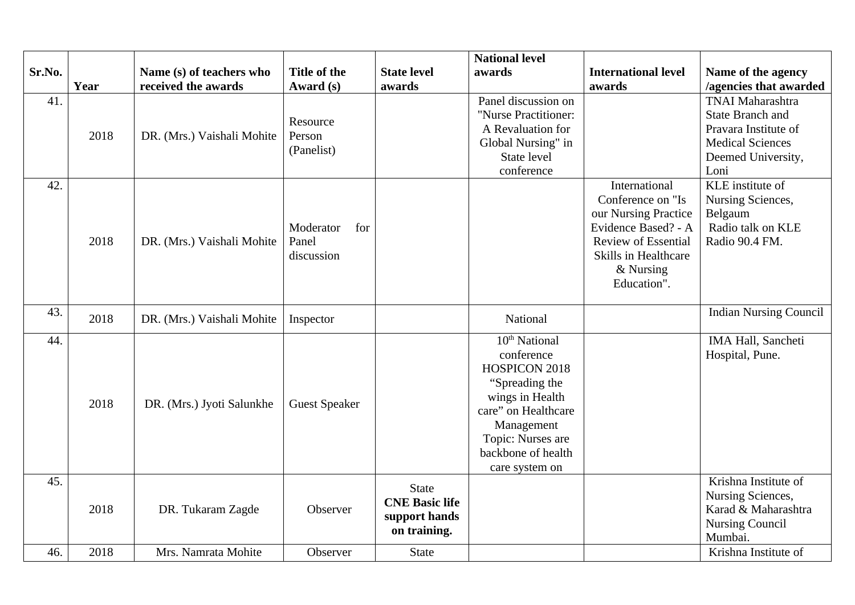|        |      |                            |                      |                       | <b>National level</b>     |                            |                                          |
|--------|------|----------------------------|----------------------|-----------------------|---------------------------|----------------------------|------------------------------------------|
| Sr.No. |      | Name (s) of teachers who   | Title of the         | <b>State level</b>    | awards                    | <b>International level</b> | Name of the agency                       |
|        | Year | received the awards        | Award (s)            | awards                |                           | awards                     | /agencies that awarded                   |
| 41.    |      |                            |                      |                       | Panel discussion on       |                            | <b>TNAI Maharashtra</b>                  |
|        |      |                            | Resource             |                       | "Nurse Practitioner:      |                            | <b>State Branch and</b>                  |
|        | 2018 | DR. (Mrs.) Vaishali Mohite | Person               |                       | A Revaluation for         |                            | Pravara Institute of                     |
|        |      |                            | (Panelist)           |                       | Global Nursing" in        |                            | <b>Medical Sciences</b>                  |
|        |      |                            |                      |                       | State level               |                            | Deemed University,                       |
|        |      |                            |                      |                       | conference                |                            | Loni                                     |
| 42.    |      |                            |                      |                       |                           | International              | KLE institute of                         |
|        |      |                            |                      |                       |                           | Conference on "Is          | Nursing Sciences,                        |
|        |      |                            |                      |                       |                           | our Nursing Practice       | Belgaum                                  |
|        |      |                            | Moderator<br>for     |                       |                           | Evidence Based? - A        | Radio talk on KLE                        |
|        | 2018 | DR. (Mrs.) Vaishali Mohite | Panel                |                       |                           | <b>Review of Essential</b> | Radio 90.4 FM.                           |
|        |      |                            | discussion           |                       |                           | Skills in Healthcare       |                                          |
|        |      |                            |                      |                       |                           | & Nursing                  |                                          |
|        |      |                            |                      |                       |                           | Education".                |                                          |
| 43.    |      |                            |                      |                       |                           |                            | <b>Indian Nursing Council</b>            |
|        | 2018 | DR. (Mrs.) Vaishali Mohite | Inspector            |                       | National                  |                            |                                          |
| 44.    |      |                            |                      |                       | 10 <sup>th</sup> National |                            | IMA Hall, Sancheti                       |
|        |      |                            |                      |                       | conference                |                            | Hospital, Pune.                          |
|        |      |                            |                      |                       | HOSPICON 2018             |                            |                                          |
|        |      |                            |                      |                       | "Spreading the            |                            |                                          |
|        | 2018 | DR. (Mrs.) Jyoti Salunkhe  | <b>Guest Speaker</b> |                       | wings in Health           |                            |                                          |
|        |      |                            |                      |                       | care" on Healthcare       |                            |                                          |
|        |      |                            |                      |                       | Management                |                            |                                          |
|        |      |                            |                      |                       | Topic: Nurses are         |                            |                                          |
|        |      |                            |                      |                       | backbone of health        |                            |                                          |
|        |      |                            |                      |                       | care system on            |                            |                                          |
| 45.    |      |                            |                      | <b>State</b>          |                           |                            | Krishna Institute of                     |
|        | 2018 |                            | Observer             | <b>CNE Basic life</b> |                           |                            | Nursing Sciences,<br>Karad & Maharashtra |
|        |      | DR. Tukaram Zagde          |                      | support hands         |                           |                            |                                          |
|        |      |                            |                      | on training.          |                           |                            | <b>Nursing Council</b><br>Mumbai.        |
| 46.    | 2018 | Mrs. Namrata Mohite        | Observer             | <b>State</b>          |                           |                            | Krishna Institute of                     |
|        |      |                            |                      |                       |                           |                            |                                          |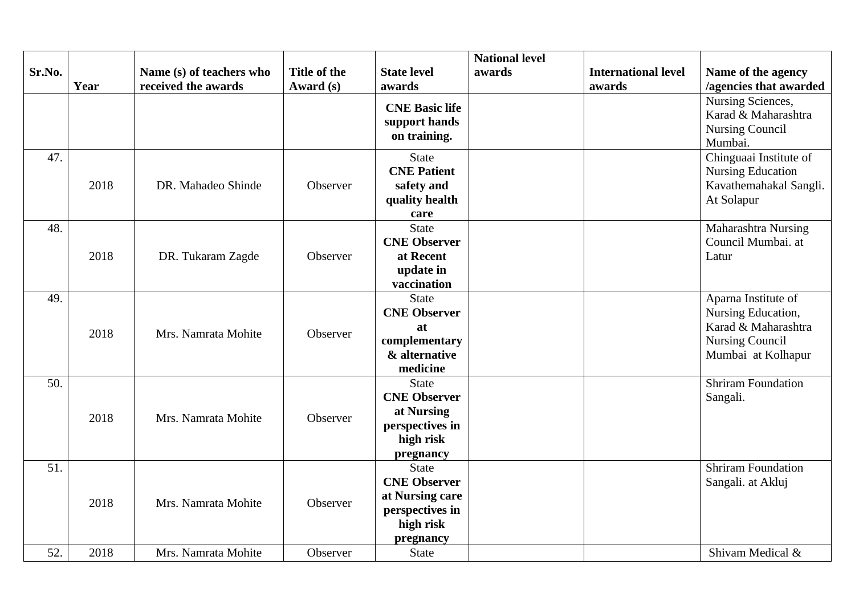|        |      |                          |                     |                              | <b>National level</b> |                            |                           |
|--------|------|--------------------------|---------------------|------------------------------|-----------------------|----------------------------|---------------------------|
| Sr.No. |      | Name (s) of teachers who | <b>Title of the</b> | <b>State level</b>           | awards                | <b>International level</b> | Name of the agency        |
|        | Year | received the awards      | Award (s)           | awards                       |                       | awards                     | /agencies that awarded    |
|        |      |                          |                     | <b>CNE Basic life</b>        |                       |                            | Nursing Sciences,         |
|        |      |                          |                     | support hands                |                       |                            | Karad & Maharashtra       |
|        |      |                          |                     | on training.                 |                       |                            | <b>Nursing Council</b>    |
|        |      |                          |                     |                              |                       |                            | Mumbai.                   |
| 47.    |      |                          |                     | <b>State</b>                 |                       |                            | Chinguaai Institute of    |
|        |      |                          |                     | <b>CNE Patient</b>           |                       |                            | <b>Nursing Education</b>  |
|        | 2018 | DR. Mahadeo Shinde       | Observer            | safety and                   |                       |                            | Kavathemahakal Sangli.    |
|        |      |                          |                     | quality health               |                       |                            | At Solapur                |
|        |      |                          |                     | care                         |                       |                            |                           |
| 48.    |      |                          |                     | <b>State</b>                 |                       |                            | Maharashtra Nursing       |
|        |      |                          |                     | <b>CNE Observer</b>          |                       |                            | Council Mumbai. at        |
|        | 2018 | DR. Tukaram Zagde        | Observer            | at Recent                    |                       |                            | Latur                     |
|        |      |                          |                     | update in                    |                       |                            |                           |
|        |      |                          |                     | vaccination                  |                       |                            |                           |
| 49.    |      |                          |                     | <b>State</b>                 |                       |                            | Aparna Institute of       |
|        |      |                          |                     | <b>CNE Observer</b>          |                       |                            | Nursing Education,        |
|        | 2018 | Mrs. Namrata Mohite      | Observer            | at                           |                       |                            | Karad & Maharashtra       |
|        |      |                          |                     | complementary                |                       |                            | <b>Nursing Council</b>    |
|        |      |                          |                     | & alternative                |                       |                            | Mumbai at Kolhapur        |
|        |      |                          |                     | medicine                     |                       |                            |                           |
| 50.    |      |                          |                     | <b>State</b>                 |                       |                            | <b>Shriram Foundation</b> |
|        |      |                          |                     | <b>CNE Observer</b>          |                       |                            | Sangali.                  |
|        | 2018 | Mrs. Namrata Mohite      | Observer            | at Nursing                   |                       |                            |                           |
|        |      |                          |                     | perspectives in<br>high risk |                       |                            |                           |
|        |      |                          |                     |                              |                       |                            |                           |
| 51.    |      |                          |                     | pregnancy<br><b>State</b>    |                       |                            | <b>Shriram Foundation</b> |
|        |      |                          |                     | <b>CNE Observer</b>          |                       |                            | Sangali. at Akluj         |
|        |      |                          |                     | at Nursing care              |                       |                            |                           |
|        | 2018 | Mrs. Namrata Mohite      | Observer            | perspectives in              |                       |                            |                           |
|        |      |                          |                     | high risk                    |                       |                            |                           |
|        |      |                          |                     | pregnancy                    |                       |                            |                           |
| 52.    | 2018 | Mrs. Namrata Mohite      | Observer            | <b>State</b>                 |                       |                            | Shivam Medical &          |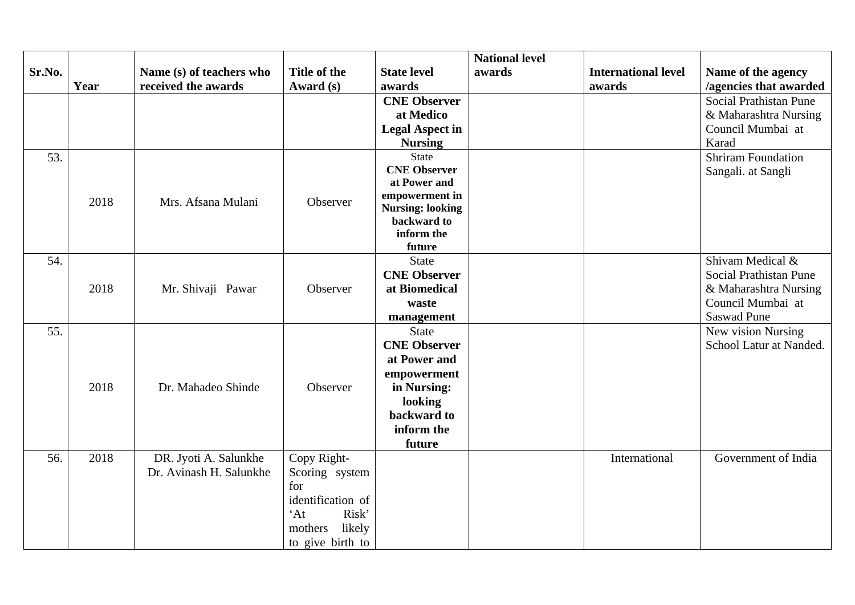|        |      |                          |                        |                         | <b>National level</b> |                            |                           |
|--------|------|--------------------------|------------------------|-------------------------|-----------------------|----------------------------|---------------------------|
| Sr.No. |      | Name (s) of teachers who | Title of the           | <b>State level</b>      | awards                | <b>International level</b> | Name of the agency        |
|        | Year | received the awards      | Award (s)              | awards                  |                       | awards                     | /agencies that awarded    |
|        |      |                          |                        | <b>CNE Observer</b>     |                       |                            | Social Prathistan Pune    |
|        |      |                          |                        | at Medico               |                       |                            | & Maharashtra Nursing     |
|        |      |                          |                        | <b>Legal Aspect in</b>  |                       |                            | Council Mumbai at         |
|        |      |                          |                        | <b>Nursing</b>          |                       |                            | Karad                     |
| 53.    |      |                          |                        | <b>State</b>            |                       |                            | <b>Shriram Foundation</b> |
|        |      |                          |                        | <b>CNE Observer</b>     |                       |                            | Sangali. at Sangli        |
|        |      |                          |                        | at Power and            |                       |                            |                           |
|        | 2018 | Mrs. Afsana Mulani       | Observer               | empowerment in          |                       |                            |                           |
|        |      |                          |                        | <b>Nursing: looking</b> |                       |                            |                           |
|        |      |                          |                        | backward to             |                       |                            |                           |
|        |      |                          |                        | inform the              |                       |                            |                           |
| 54.    |      |                          |                        | future<br><b>State</b>  |                       |                            | Shivam Medical &          |
|        |      |                          |                        | <b>CNE Observer</b>     |                       |                            | Social Prathistan Pune    |
|        | 2018 |                          |                        |                         |                       |                            |                           |
|        |      | Mr. Shivaji Pawar        | Observer               | at Biomedical           |                       |                            | & Maharashtra Nursing     |
|        |      |                          |                        | waste                   |                       |                            | Council Mumbai at         |
|        |      |                          |                        | management              |                       |                            | <b>Saswad Pune</b>        |
| 55.    |      |                          |                        | <b>State</b>            |                       |                            | New vision Nursing        |
|        |      |                          |                        | <b>CNE Observer</b>     |                       |                            | School Latur at Nanded.   |
|        |      |                          |                        | at Power and            |                       |                            |                           |
|        |      |                          |                        | empowerment             |                       |                            |                           |
|        | 2018 | Dr. Mahadeo Shinde       | Observer               | in Nursing:             |                       |                            |                           |
|        |      |                          |                        | looking                 |                       |                            |                           |
|        |      |                          |                        | backward to             |                       |                            |                           |
|        |      |                          |                        | inform the              |                       |                            |                           |
|        |      |                          |                        | future                  |                       |                            |                           |
| 56.    | 2018 | DR. Jyoti A. Salunkhe    | Copy Right-            |                         |                       | International              | Government of India       |
|        |      | Dr. Avinash H. Salunkhe  | Scoring system         |                         |                       |                            |                           |
|        |      |                          | for                    |                         |                       |                            |                           |
|        |      |                          | identification of      |                         |                       |                            |                           |
|        |      |                          | Risk'<br>$^{\circ}$ At |                         |                       |                            |                           |
|        |      |                          | likely<br>mothers      |                         |                       |                            |                           |
|        |      |                          | to give birth to       |                         |                       |                            |                           |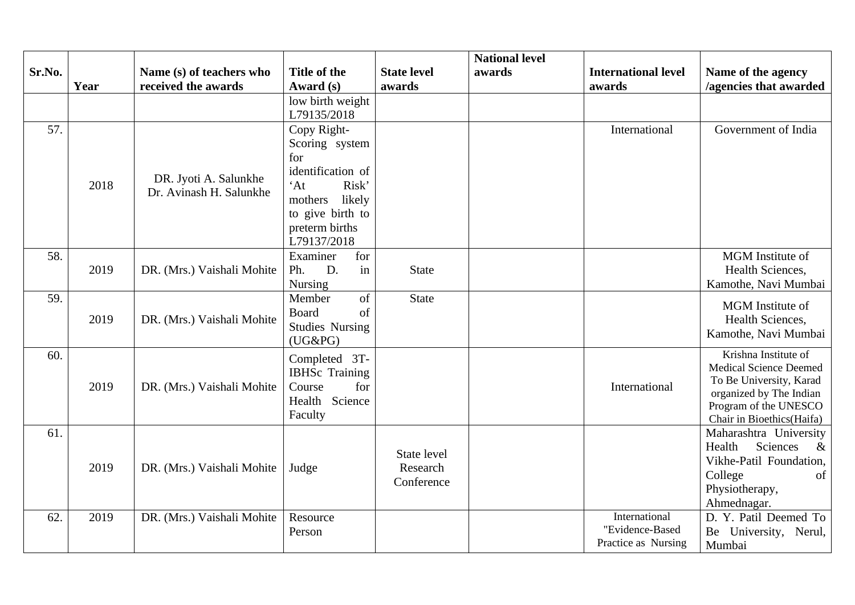|        |      |                            |                        |                    | <b>National level</b> |                            |                                                    |
|--------|------|----------------------------|------------------------|--------------------|-----------------------|----------------------------|----------------------------------------------------|
| Sr.No. |      | Name (s) of teachers who   | <b>Title of the</b>    | <b>State level</b> | awards                | <b>International level</b> | Name of the agency                                 |
|        | Year | received the awards        | Award (s)              | awards             |                       | awards                     | /agencies that awarded                             |
|        |      |                            | low birth weight       |                    |                       |                            |                                                    |
|        |      |                            | L79135/2018            |                    |                       |                            |                                                    |
| 57.    |      |                            | Copy Right-            |                    |                       | International              | Government of India                                |
|        |      |                            | Scoring system         |                    |                       |                            |                                                    |
|        |      |                            | for                    |                    |                       |                            |                                                    |
|        |      | DR. Jyoti A. Salunkhe      | identification of      |                    |                       |                            |                                                    |
|        | 2018 | Dr. Avinash H. Salunkhe    | $^{\circ}$ At<br>Risk' |                    |                       |                            |                                                    |
|        |      |                            | mothers<br>likely      |                    |                       |                            |                                                    |
|        |      |                            | to give birth to       |                    |                       |                            |                                                    |
|        |      |                            | preterm births         |                    |                       |                            |                                                    |
|        |      |                            | L79137/2018            |                    |                       |                            |                                                    |
| 58.    |      |                            | Examiner<br>for        |                    |                       |                            | MGM Institute of                                   |
|        | 2019 | DR. (Mrs.) Vaishali Mohite | Ph.<br>D.<br>in        | <b>State</b>       |                       |                            | Health Sciences,                                   |
|        |      |                            | <b>Nursing</b>         |                    |                       |                            | Kamothe, Navi Mumbai                               |
| 59.    |      |                            | Member<br>of           | <b>State</b>       |                       |                            | <b>MGM</b> Institute of                            |
|        | 2019 | DR. (Mrs.) Vaishali Mohite | <b>Board</b><br>of     |                    |                       |                            | Health Sciences,                                   |
|        |      |                            | <b>Studies Nursing</b> |                    |                       |                            | Kamothe, Navi Mumbai                               |
|        |      |                            | $(UG\&PG)$             |                    |                       |                            |                                                    |
| 60.    |      |                            | Completed 3T-          |                    |                       |                            | Krishna Institute of                               |
|        |      |                            | <b>IBHSc</b> Training  |                    |                       |                            | <b>Medical Science Deemed</b>                      |
|        | 2019 | DR. (Mrs.) Vaishali Mohite | for<br>Course          |                    |                       | International              | To Be University, Karad<br>organized by The Indian |
|        |      |                            | Health Science         |                    |                       |                            | Program of the UNESCO                              |
|        |      |                            | Faculty                |                    |                       |                            | Chair in Bioethics (Haifa)                         |
| 61.    |      |                            |                        |                    |                       |                            | Maharashtra University                             |
|        |      |                            |                        |                    |                       |                            | Health<br><b>Sciences</b><br>$\&$                  |
|        |      |                            |                        | State level        |                       |                            | Vikhe-Patil Foundation,                            |
|        | 2019 | DR. (Mrs.) Vaishali Mohite | Judge                  | Research           |                       |                            | College<br>of                                      |
|        |      |                            |                        | Conference         |                       |                            | Physiotherapy,                                     |
|        |      |                            |                        |                    |                       |                            | Ahmednagar.                                        |
| 62.    | 2019 | DR. (Mrs.) Vaishali Mohite | Resource               |                    |                       | International              | D. Y. Patil Deemed To                              |
|        |      |                            | Person                 |                    |                       | "Evidence-Based            | Be University, Nerul,                              |
|        |      |                            |                        |                    |                       | Practice as Nursing        | Mumbai                                             |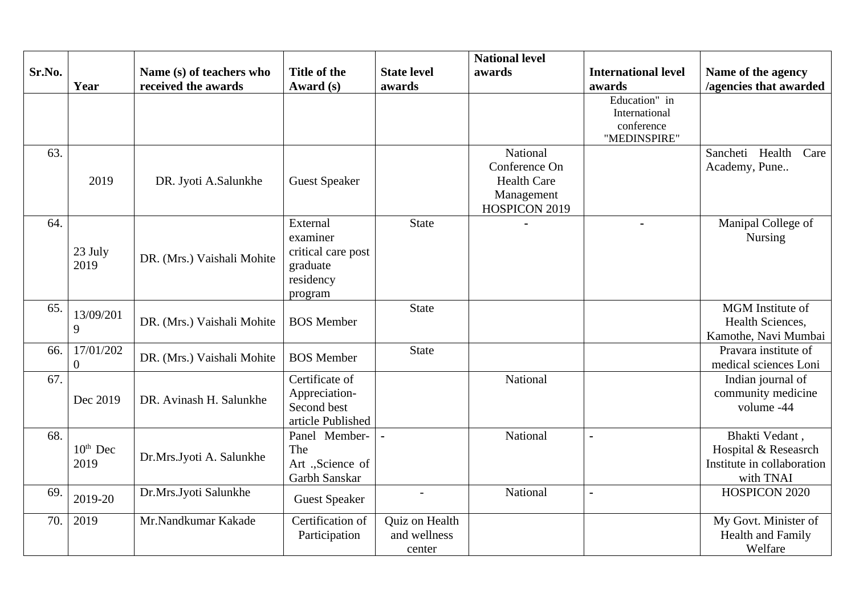|        |                      |                            |                      |                          | <b>National level</b> |                             |                                              |
|--------|----------------------|----------------------------|----------------------|--------------------------|-----------------------|-----------------------------|----------------------------------------------|
| Sr.No. |                      | Name (s) of teachers who   | <b>Title of the</b>  | <b>State level</b>       | awards                | <b>International level</b>  | Name of the agency                           |
|        | Year                 | received the awards        | Award (s)            | awards                   |                       | awards                      | /agencies that awarded                       |
|        |                      |                            |                      |                          |                       | Education" in               |                                              |
|        |                      |                            |                      |                          |                       | International<br>conference |                                              |
|        |                      |                            |                      |                          |                       | "MEDINSPIRE"                |                                              |
| 63.    |                      |                            |                      |                          | National              |                             | Care<br>Sancheti Health                      |
|        |                      |                            |                      |                          | Conference On         |                             | Academy, Pune                                |
|        | 2019                 | DR. Jyoti A.Salunkhe       | <b>Guest Speaker</b> |                          | <b>Health Care</b>    |                             |                                              |
|        |                      |                            |                      |                          | Management            |                             |                                              |
|        |                      |                            |                      |                          | HOSPICON 2019         |                             |                                              |
| 64.    |                      |                            | External             | <b>State</b>             |                       |                             | Manipal College of                           |
|        |                      |                            | examiner             |                          |                       |                             | Nursing                                      |
|        | 23 July              | DR. (Mrs.) Vaishali Mohite | critical care post   |                          |                       |                             |                                              |
|        | 2019                 |                            | graduate             |                          |                       |                             |                                              |
|        |                      |                            | residency            |                          |                       |                             |                                              |
|        |                      |                            | program              |                          |                       |                             |                                              |
| 65.    | 13/09/201            |                            |                      | <b>State</b>             |                       |                             | MGM Institute of                             |
|        | 9                    | DR. (Mrs.) Vaishali Mohite | <b>BOS Member</b>    |                          |                       |                             | Health Sciences,                             |
| 66.    | 17/01/202            |                            |                      | <b>State</b>             |                       |                             | Kamothe, Navi Mumbai<br>Pravara institute of |
|        | $\overline{0}$       | DR. (Mrs.) Vaishali Mohite | <b>BOS Member</b>    |                          |                       |                             | medical sciences Loni                        |
| 67.    |                      |                            | Certificate of       |                          | National              |                             | Indian journal of                            |
|        |                      |                            | Appreciation-        |                          |                       |                             | community medicine                           |
|        | Dec 2019             | DR. Avinash H. Salunkhe    | Second best          |                          |                       |                             | volume -44                                   |
|        |                      |                            | article Published    |                          |                       |                             |                                              |
| 68.    |                      |                            | Panel Member-        | $\overline{a}$           | National              |                             | Bhakti Vedant,                               |
|        | $10^{\text{th}}$ Dec | Dr.Mrs.Jyoti A. Salunkhe   | The                  |                          |                       |                             | Hospital & Reseasrch                         |
|        | 2019                 |                            | Art .,Science of     |                          |                       |                             | Institute in collaboration                   |
|        |                      |                            | Garbh Sanskar        |                          |                       |                             | with TNAI                                    |
| 69.    | 2019-20              | Dr.Mrs.Jyoti Salunkhe      | <b>Guest Speaker</b> | $\overline{\phantom{a}}$ | National              | $\sim$                      | HOSPICON 2020                                |
|        |                      |                            |                      |                          |                       |                             |                                              |
| 70.    | 2019                 | Mr.Nandkumar Kakade        | Certification of     | Quiz on Health           |                       |                             | My Govt. Minister of                         |
|        |                      |                            | Participation        | and wellness             |                       |                             | <b>Health and Family</b>                     |
|        |                      |                            |                      | center                   |                       |                             | Welfare                                      |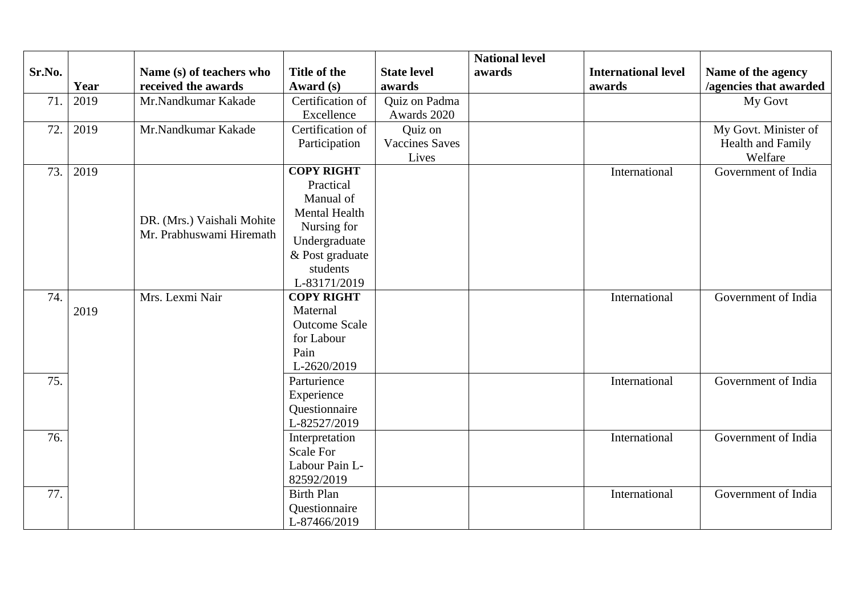|        |      |                            |                      |                       | <b>National level</b> |                            |                        |
|--------|------|----------------------------|----------------------|-----------------------|-----------------------|----------------------------|------------------------|
| Sr.No. |      | Name (s) of teachers who   | <b>Title of the</b>  | <b>State level</b>    | awards                | <b>International level</b> | Name of the agency     |
|        | Year | received the awards        | Award (s)            | awards                |                       | awards                     | /agencies that awarded |
| 71.    | 2019 | Mr.Nandkumar Kakade        | Certification of     | Quiz on Padma         |                       |                            | My Govt                |
|        |      |                            | Excellence           | Awards 2020           |                       |                            |                        |
| 72.    | 2019 | Mr.Nandkumar Kakade        | Certification of     | Quiz on               |                       |                            | My Govt. Minister of   |
|        |      |                            | Participation        | <b>Vaccines Saves</b> |                       |                            | Health and Family      |
|        |      |                            |                      | Lives                 |                       |                            | Welfare                |
| 73.    | 2019 |                            | <b>COPY RIGHT</b>    |                       |                       | International              | Government of India    |
|        |      |                            | Practical            |                       |                       |                            |                        |
|        |      |                            | Manual of            |                       |                       |                            |                        |
|        |      | DR. (Mrs.) Vaishali Mohite | Mental Health        |                       |                       |                            |                        |
|        |      | Mr. Prabhuswami Hiremath   | Nursing for          |                       |                       |                            |                        |
|        |      |                            | Undergraduate        |                       |                       |                            |                        |
|        |      |                            | & Post graduate      |                       |                       |                            |                        |
|        |      |                            | students             |                       |                       |                            |                        |
|        |      |                            | L-83171/2019         |                       |                       |                            |                        |
| 74.    |      | Mrs. Lexmi Nair            | <b>COPY RIGHT</b>    |                       |                       | International              | Government of India    |
|        | 2019 |                            | Maternal             |                       |                       |                            |                        |
|        |      |                            | <b>Outcome Scale</b> |                       |                       |                            |                        |
|        |      |                            | for Labour           |                       |                       |                            |                        |
|        |      |                            | Pain                 |                       |                       |                            |                        |
|        |      |                            | L-2620/2019          |                       |                       |                            |                        |
| 75.    |      |                            | Parturience          |                       |                       | International              | Government of India    |
|        |      |                            | Experience           |                       |                       |                            |                        |
|        |      |                            | Questionnaire        |                       |                       |                            |                        |
|        |      |                            | L-82527/2019         |                       |                       |                            |                        |
| 76.    |      |                            | Interpretation       |                       |                       | International              | Government of India    |
|        |      |                            | <b>Scale For</b>     |                       |                       |                            |                        |
|        |      |                            | Labour Pain L-       |                       |                       |                            |                        |
|        |      |                            | 82592/2019           |                       |                       |                            |                        |
| 77.    |      |                            | <b>Birth Plan</b>    |                       |                       | International              | Government of India    |
|        |      |                            | Questionnaire        |                       |                       |                            |                        |
|        |      |                            | L-87466/2019         |                       |                       |                            |                        |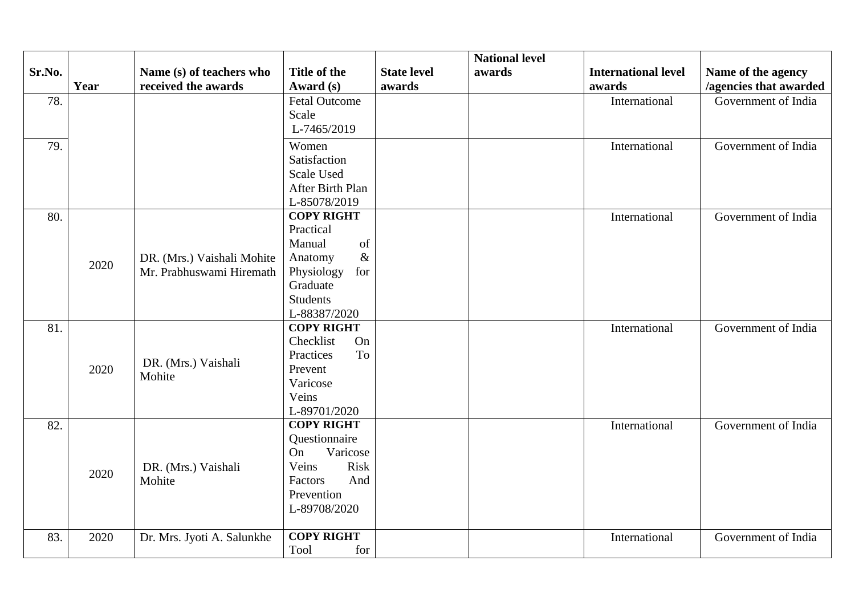|        |      |                            |                                   |                    | <b>National level</b> |                            |                        |
|--------|------|----------------------------|-----------------------------------|--------------------|-----------------------|----------------------------|------------------------|
| Sr.No. |      | Name (s) of teachers who   | <b>Title of the</b>               | <b>State level</b> | awards                | <b>International level</b> | Name of the agency     |
|        | Year | received the awards        | Award (s)                         | awards             |                       | awards                     | /agencies that awarded |
| 78.    |      |                            | <b>Fetal Outcome</b>              |                    |                       | International              | Government of India    |
|        |      |                            | <b>Scale</b>                      |                    |                       |                            |                        |
|        |      |                            | L-7465/2019                       |                    |                       |                            |                        |
| 79.    |      |                            | Women                             |                    |                       | International              | Government of India    |
|        |      |                            | Satisfaction                      |                    |                       |                            |                        |
|        |      |                            | <b>Scale Used</b>                 |                    |                       |                            |                        |
|        |      |                            | After Birth Plan                  |                    |                       |                            |                        |
|        |      |                            | L-85078/2019                      |                    |                       |                            |                        |
| 80.    |      |                            | <b>COPY RIGHT</b>                 |                    |                       | International              | Government of India    |
|        |      |                            | Practical                         |                    |                       |                            |                        |
|        |      |                            | Manual<br>of                      |                    |                       |                            |                        |
|        | 2020 | DR. (Mrs.) Vaishali Mohite | $\&$<br>Anatomy                   |                    |                       |                            |                        |
|        |      | Mr. Prabhuswami Hiremath   | Physiology<br>for                 |                    |                       |                            |                        |
|        |      |                            | Graduate                          |                    |                       |                            |                        |
|        |      |                            | <b>Students</b>                   |                    |                       |                            |                        |
|        |      |                            | L-88387/2020                      |                    |                       |                            |                        |
| 81.    |      |                            | <b>COPY RIGHT</b>                 |                    |                       | International              | Government of India    |
|        |      |                            | On<br>Checklist                   |                    |                       |                            |                        |
|        |      | DR. (Mrs.) Vaishali        | To<br>Practices                   |                    |                       |                            |                        |
|        | 2020 | Mohite                     | Prevent                           |                    |                       |                            |                        |
|        |      |                            | Varicose                          |                    |                       |                            |                        |
|        |      |                            | Veins                             |                    |                       |                            |                        |
|        |      |                            | L-89701/2020<br><b>COPY RIGHT</b> |                    |                       |                            | Government of India    |
| 82.    |      |                            | Questionnaire                     |                    |                       | International              |                        |
|        |      |                            | Varicose<br>On                    |                    |                       |                            |                        |
|        |      | DR. (Mrs.) Vaishali        | Risk<br>Veins                     |                    |                       |                            |                        |
|        | 2020 | Mohite                     | And<br>Factors                    |                    |                       |                            |                        |
|        |      |                            | Prevention                        |                    |                       |                            |                        |
|        |      |                            | L-89708/2020                      |                    |                       |                            |                        |
|        |      |                            |                                   |                    |                       |                            |                        |
| 83.    | 2020 | Dr. Mrs. Jyoti A. Salunkhe | <b>COPY RIGHT</b>                 |                    |                       | International              | Government of India    |
|        |      |                            | Tool<br>for                       |                    |                       |                            |                        |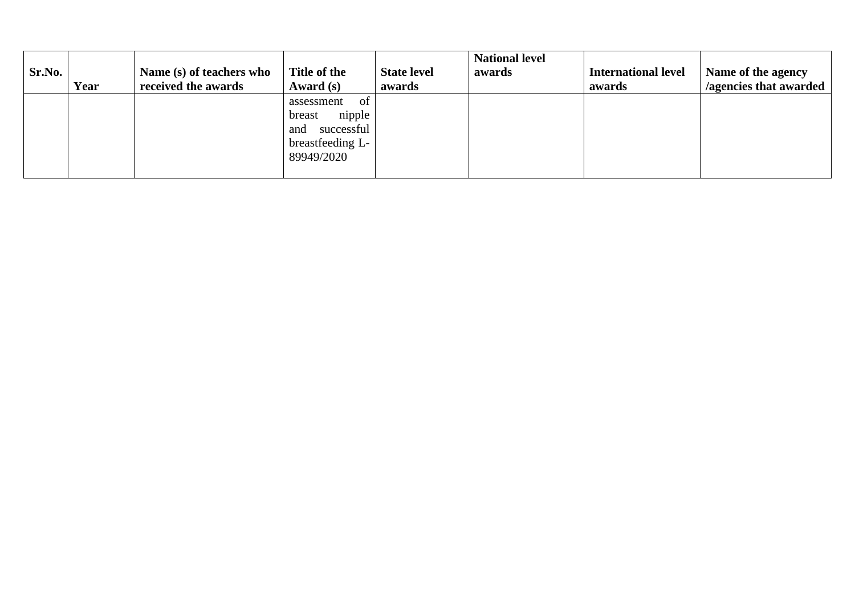|        |      |                          |                   |                    | <b>National level</b> |                            |                        |
|--------|------|--------------------------|-------------------|--------------------|-----------------------|----------------------------|------------------------|
| Sr.No. |      | Name (s) of teachers who | Title of the      | <b>State level</b> | awards                | <b>International level</b> | Name of the agency     |
|        | Year | received the awards      | Award (s)         | awards             |                       | awards                     | /agencies that awarded |
|        |      |                          | assessment<br>-of |                    |                       |                            |                        |
|        |      |                          | nipple<br>breast  |                    |                       |                            |                        |
|        |      |                          | successful<br>and |                    |                       |                            |                        |
|        |      |                          | breastfeeding L-  |                    |                       |                            |                        |
|        |      |                          | 89949/2020        |                    |                       |                            |                        |
|        |      |                          |                   |                    |                       |                            |                        |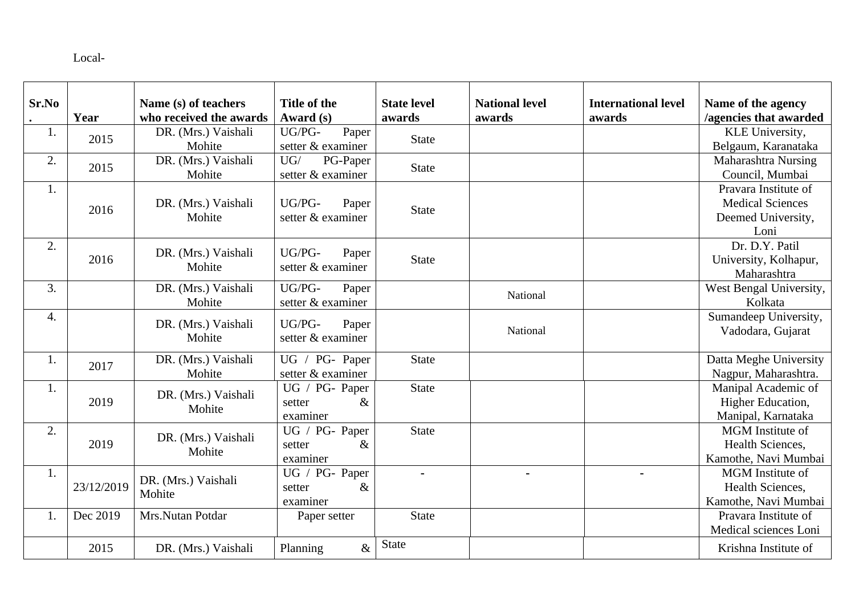Local-

| Sr.No | Year       | Name (s) of teachers<br>who received the awards | Title of the<br>Award (s)                                 | <b>State level</b><br>awards | <b>National level</b><br>awards | <b>International level</b><br>awards | Name of the agency<br>/agencies that awarded                                  |
|-------|------------|-------------------------------------------------|-----------------------------------------------------------|------------------------------|---------------------------------|--------------------------------------|-------------------------------------------------------------------------------|
| 1.    | 2015       | DR. (Mrs.) Vaishali<br>Mohite                   | UG/PG-<br>Paper<br>setter & examiner                      | <b>State</b>                 |                                 |                                      | KLE University,<br>Belgaum, Karanataka                                        |
| 2.    | 2015       | DR. (Mrs.) Vaishali<br>Mohite                   | UG/<br>PG-Paper<br>setter & examiner                      | <b>State</b>                 |                                 |                                      | Maharashtra Nursing<br>Council, Mumbai                                        |
| 1.    | 2016       | DR. (Mrs.) Vaishali<br>Mohite                   | UG/PG-<br>Paper<br>setter & examiner                      | <b>State</b>                 |                                 |                                      | Pravara Institute of<br><b>Medical Sciences</b><br>Deemed University,<br>Loni |
| 2.    | 2016       | DR. (Mrs.) Vaishali<br>Mohite                   | UG/PG-<br>Paper<br>setter & examiner                      | <b>State</b>                 |                                 |                                      | Dr. D.Y. Patil<br>University, Kolhapur,<br>Maharashtra                        |
| 3.    |            | DR. (Mrs.) Vaishali<br>Mohite                   | UG/PG-<br>Paper<br>setter & examiner                      |                              | National                        |                                      | West Bengal University,<br>Kolkata                                            |
| 4.    |            | DR. (Mrs.) Vaishali<br>Mohite                   | UG/PG-<br>Paper<br>setter & examiner                      |                              | National                        |                                      | Sumandeep University,<br>Vadodara, Gujarat                                    |
| 1.    | 2017       | DR. (Mrs.) Vaishali<br>Mohite                   | UG / PG- Paper<br>setter & examiner                       | <b>State</b>                 |                                 |                                      | Datta Meghe University<br>Nagpur, Maharashtra.                                |
| 1.    | 2019       | DR. (Mrs.) Vaishali<br>Mohite                   | UG / PG- Paper<br>setter<br>&<br>examiner                 | <b>State</b>                 |                                 |                                      | Manipal Academic of<br>Higher Education,<br>Manipal, Karnataka                |
| 2.    | 2019       | DR. (Mrs.) Vaishali<br>Mohite                   | $\overline{UG}$ / PG- Paper<br>$\&$<br>setter<br>examiner | <b>State</b>                 |                                 |                                      | <b>MGM</b> Institute of<br>Health Sciences,<br>Kamothe, Navi Mumbai           |
| 1.    | 23/12/2019 | DR. (Mrs.) Vaishali<br>Mohite                   | UG / PG- Paper<br>&<br>setter<br>examiner                 |                              | $\blacksquare$                  | $\blacksquare$                       | <b>MGM</b> Institute of<br>Health Sciences,<br>Kamothe, Navi Mumbai           |
| 1.    | Dec 2019   | Mrs.Nutan Potdar                                | Paper setter                                              | <b>State</b>                 |                                 |                                      | Pravara Institute of<br>Medical sciences Loni                                 |
|       | 2015       | DR. (Mrs.) Vaishali                             | $\&$<br>Planning                                          | <b>State</b>                 |                                 |                                      | Krishna Institute of                                                          |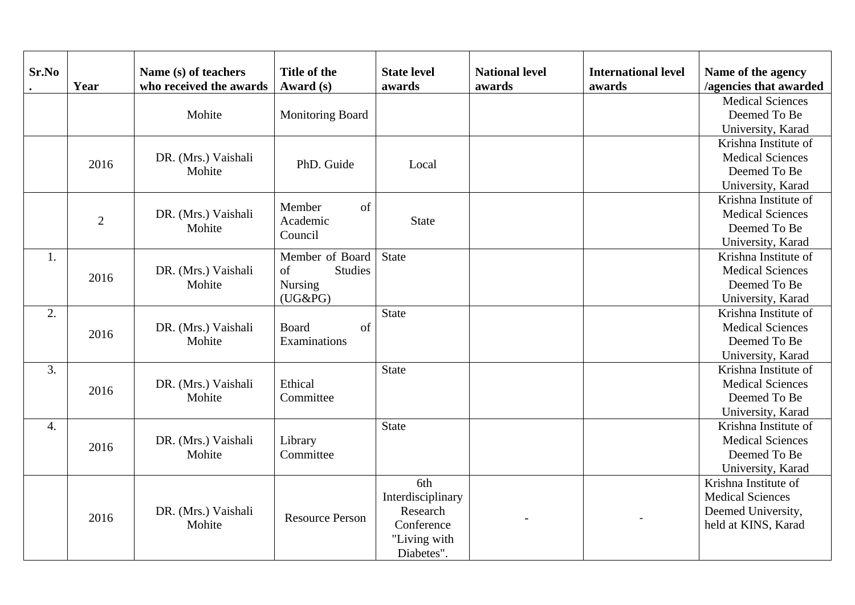| Sr.No | Year           | Name (s) of teachers<br>who received the awards | <b>Title of the</b><br>Award (s)   | <b>State level</b><br>awards | <b>National level</b><br>awards | <b>International level</b><br>awards | Name of the agency<br>/agencies that awarded |
|-------|----------------|-------------------------------------------------|------------------------------------|------------------------------|---------------------------------|--------------------------------------|----------------------------------------------|
|       |                |                                                 |                                    |                              |                                 |                                      | <b>Medical Sciences</b>                      |
|       |                | Mohite                                          | <b>Monitoring Board</b>            |                              |                                 |                                      | Deemed To Be                                 |
|       |                |                                                 |                                    |                              |                                 |                                      | University, Karad                            |
|       |                |                                                 |                                    |                              |                                 |                                      | Krishna Institute of                         |
|       | 2016           | DR. (Mrs.) Vaishali                             | PhD. Guide                         | Local                        |                                 |                                      | <b>Medical Sciences</b>                      |
|       |                | Mohite                                          |                                    |                              |                                 |                                      | Deemed To Be                                 |
|       |                |                                                 |                                    |                              |                                 |                                      | University, Karad                            |
|       |                |                                                 | of<br>Member                       |                              |                                 |                                      | Krishna Institute of                         |
|       | $\overline{2}$ | DR. (Mrs.) Vaishali                             | Academic                           | <b>State</b>                 |                                 |                                      | <b>Medical Sciences</b>                      |
|       |                | Mohite                                          | Council                            |                              |                                 |                                      | Deemed To Be                                 |
|       |                |                                                 |                                    |                              |                                 |                                      | University, Karad                            |
| 1.    |                |                                                 | Member of Board                    | <b>State</b>                 |                                 |                                      | Krishna Institute of                         |
|       | 2016           | DR. (Mrs.) Vaishali                             | Studies<br>of                      |                              |                                 |                                      | <b>Medical Sciences</b>                      |
|       |                | Mohite                                          | Nursing                            |                              |                                 |                                      | Deemed To Be                                 |
|       |                |                                                 | $(UG\&PG)$                         |                              |                                 |                                      | University, Karad                            |
| 2.    |                |                                                 |                                    | <b>State</b>                 |                                 |                                      | Krishna Institute of                         |
|       | 2016           | DR. (Mrs.) Vaishali<br>Mohite                   | <b>Board</b><br>of<br>Examinations |                              |                                 |                                      | <b>Medical Sciences</b>                      |
|       |                |                                                 |                                    |                              |                                 |                                      | Deemed To Be                                 |
|       |                |                                                 |                                    |                              |                                 |                                      | University, Karad                            |
| 3.    |                |                                                 |                                    | <b>State</b>                 |                                 |                                      | Krishna Institute of                         |
|       | 2016           | DR. (Mrs.) Vaishali                             | Ethical                            |                              |                                 |                                      | <b>Medical Sciences</b>                      |
|       |                | Mohite                                          | Committee                          |                              |                                 |                                      | Deemed To Be                                 |
|       |                |                                                 |                                    |                              |                                 |                                      | University, Karad                            |
| 4.    |                |                                                 |                                    | State                        |                                 |                                      | Krishna Institute of                         |
|       | 2016           | DR. (Mrs.) Vaishali                             | Library                            |                              |                                 |                                      | <b>Medical Sciences</b>                      |
|       |                | Mohite                                          | Committee                          |                              |                                 |                                      | Deemed To Be                                 |
|       |                |                                                 |                                    |                              |                                 |                                      | University, Karad                            |
|       |                |                                                 |                                    | 6th                          |                                 |                                      | Krishna Institute of                         |
|       |                |                                                 |                                    | Interdisciplinary            |                                 |                                      | <b>Medical Sciences</b>                      |
|       | 2016           | DR. (Mrs.) Vaishali                             | <b>Resource Person</b>             | Research                     |                                 |                                      | Deemed University,                           |
|       |                | Mohite                                          |                                    | Conference                   |                                 |                                      | held at KINS, Karad                          |
|       |                |                                                 |                                    | "Living with                 |                                 |                                      |                                              |
|       |                |                                                 |                                    | Diabetes".                   |                                 |                                      |                                              |